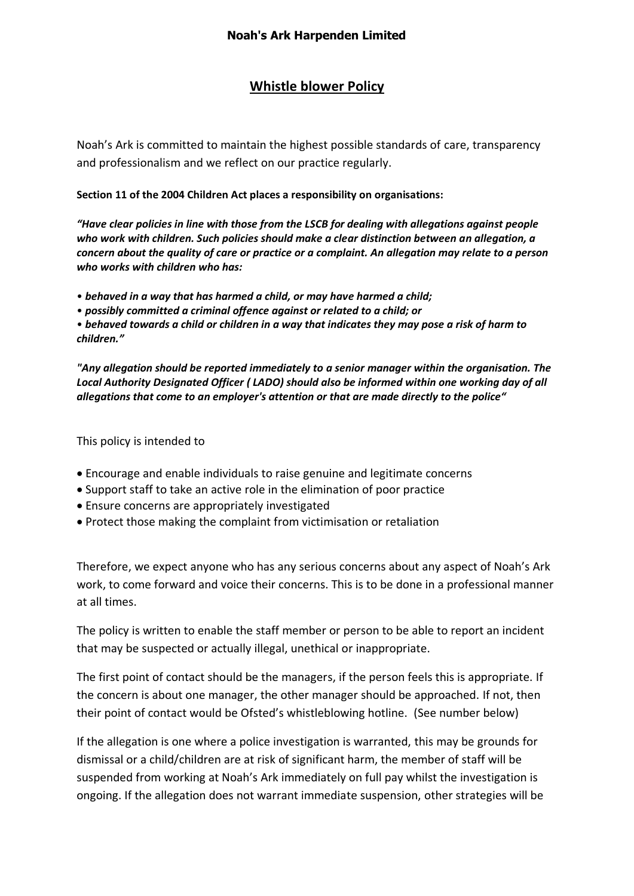## **Whistle blower Policy**

Noah's Ark is committed to maintain the highest possible standards of care, transparency and professionalism and we reflect on our practice regularly.

## **Section 11 of the 2004 Children Act places a responsibility on organisations:**

*"Have clear policies in line with those from the LSCB for dealing with allegations against people who work with children. Such policies should make a clear distinction between an allegation, a concern about the quality of care or practice or a complaint. An allegation may relate to a person who works with children who has:*

- *behaved in a way that has harmed a child, or may have harmed a child;*
- *possibly committed a criminal offence against or related to a child; or*

• *behaved towards a child or children in a way that indicates they may pose a risk of harm to children."* 

*"Any allegation should be reported immediately to a senior manager within the organisation. The Local Authority Designated Officer ( LADO) should also be informed within one working day of all allegations that come to an employer's attention or that are made directly to the police"* 

## This policy is intended to

- Encourage and enable individuals to raise genuine and legitimate concerns
- Support staff to take an active role in the elimination of poor practice
- Ensure concerns are appropriately investigated
- Protect those making the complaint from victimisation or retaliation

Therefore, we expect anyone who has any serious concerns about any aspect of Noah's Ark work, to come forward and voice their concerns. This is to be done in a professional manner at all times.

The policy is written to enable the staff member or person to be able to report an incident that may be suspected or actually illegal, unethical or inappropriate.

The first point of contact should be the managers, if the person feels this is appropriate. If the concern is about one manager, the other manager should be approached. If not, then their point of contact would be Ofsted's whistleblowing hotline. (See number below)

If the allegation is one where a police investigation is warranted, this may be grounds for dismissal or a child/children are at risk of significant harm, the member of staff will be suspended from working at Noah's Ark immediately on full pay whilst the investigation is ongoing. If the allegation does not warrant immediate suspension, other strategies will be